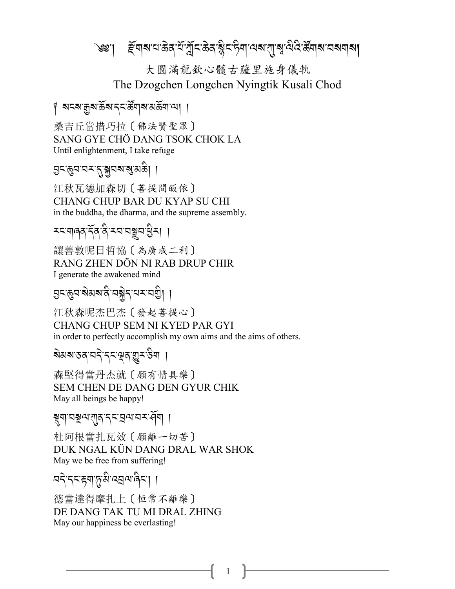৩ঃ। ङ्गिषायाऊेवार्याञ्चॅदिऊेवाञ्चेदारीयात्र्याषुर्व्यादेऊॅयाबायब्याबा

大圓滿龍欽心髓古薩里施身儀軌 The Dzogchen Longchen Nyingtik Kusali Chod

∦ ঝহম'ক্কুম'ৰ্ক্কম'ব্হ'ৰ্ক্কিম্'মাইবা'মা ।

桑吉丘當措巧拉〔佛法賢聖眾〕 SANG GYE CHÖ DANG TSOK CHOK LA Until enlightenment, I take refuge

## এন্জুন'নম'নু'শ্লুনম'ৰ্'মন্ডী ।

江秋瓦德加森切〔菩提間皈依〕 CHANG CHUP BAR DU KYAP SU CHI in the buddha, the dharma, and the supreme assembly.

讓善敦呢日哲協〔為廣成二利〕 RANG ZHEN DÖN NI RAB DRUP CHIR I generate the awakened mind

江秋森呢杰巴杰〔發起善提心〕 CHANG CHUP SEM NI KYED PAR GYI in order to perfectly accomplish my own aims and the aims of others.

য়য়য়ৼঽৼঀৼ৻ৼ৻ড়ঀ৻ড়ৢৼ৻ড়ৢৢঀ

森堅得當丹杰就〔願有情具樂〕 SEM CHEN DE DANG DEN GYUR CHIK May all beings be happy!

ম্ব্যানষ্ণ যাৰ ব্ৰায়ন্ত্ৰ কৰি ।

杜阿根當扎瓦效〔願離一切苦〕 DUK NGAL KÜN DANG DRAL WAR SHOK May we be free from suffering!

1

बदे दब्दस्याप्तृशिख्ययालेबा ।

德當達得摩扎上〔恒常不離樂〕 DE DANG TAK TU MI DRAL ZHING May our happiness be everlasting!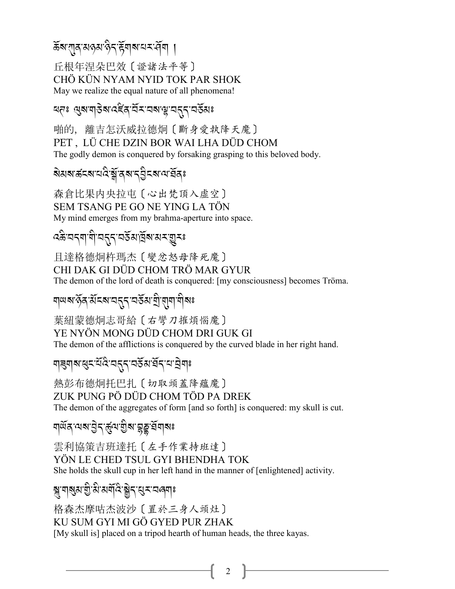# ക<del>്</del>ಷিংশাৰ্ষ অপ্তমান্ত্ৰী উপৰাজ্যৰ কৰি কৰি কৰি বি

丘根年涅朵巴效〔證諸法平等〕 CHÖ KÜN NYAM NYID TOK PAR SHOK May we realize the equal nature of all phenomena!

দ্ৰনঃ এৰামাণ্ডৰাৰেইন্বিমানৰাত্মবৰ্ত্তমাঃ

啪的, 離吉怎沃威拉德炯 (斷身愛執降天魔) PET, LÜ CHE DZIN BOR WAI LHA DÜD CHOM The godly demon is conquered by forsaking grasping to this beloved body.

森倉比果内央拉屯〔心出梵頂入虚空〕 SEM TSANG PE GO NE YING LA TÖN My mind emerges from my brahma-aperture into space.

*෬*ৡ৸৴৶য়ঢ়ঢ়ঢ়৸ড়৸ড়৻ড়৻ড়৻ড়৸ৼ

且達格德炯杵瑪杰〔變忿怒母降死魔〕 CHI DAK GI DÜD CHOM TRÖ MAR GYUR The demon of the lord of death is conquered: [my consciousness] becomes Tröma.

য়ড়য়ৼড়ৢঽৼ৻ৼ৸ৼ৸ৼ৻৸ৼ৻৸৸৸ৼ৻৸ৼ৸ৼ৸ৼ৻

葉紐蒙德炯志哥給〔右彎刀摧煩惱魔〕

YE NYÖN MONG DÜD CHOM DRI GUK GI

The demon of the afflictions is conquered by the curved blade in her right hand.

য়৾৾য়৶৶য়ৼ৻ৼৣ৻ৼৢ৻৴৸৴৸৻৸য়৸য়৸৽

熱彭布德炯托巴扎〔切取頭蓋降蘊魔〕 ZUK PUNG PÖ DÜD CHOM TÖD PA DREK The demon of the aggregates of form [and so forth] is conquered: my skull is cut.

<u> মার্</u>মূখেৰ্স*ইন*্র্ন্তুন্ম ইছুর্ত্রমাৰঃ

雲利協策吉班達托〔左手作業持班達〕 YÖN LE CHED TSUL GYI BHENDHA TOK She holds the skull cup in her left hand in the manner of [enlightened] activity.

 $\overline{2}$ 

## ৠয়৶য়<u>ৡ</u>৻ৼৣ৻ৼৣ৻ৼ৻ৼ৻ৼ৻ৼ৻৸৶য়

格森杰摩咕杰波沙〔置於三身人頭灶〕 KU SUM GYI MI GÖ GYED PUR ZHAK [My skull is] placed on a tripod hearth of human heads, the three kayas.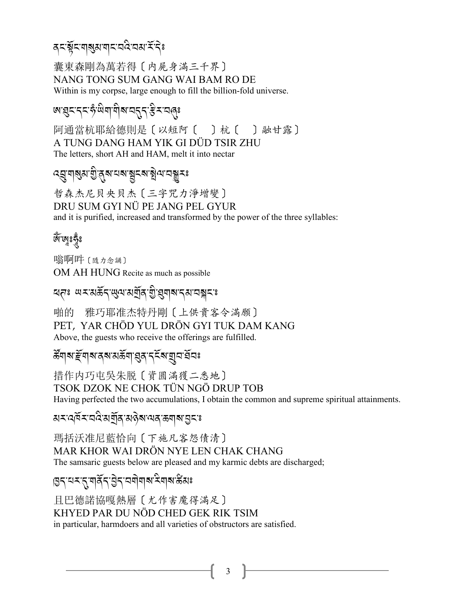## **द**दभूँदभाञ्जुरामादयदेखरार्ददेः

囊東森剛為萬若得〔内屍身滿三千界〕 NANG TONG SUM GANG WAI BAM RO DE Within is my corpse, large enough to fill the billion-fold universe.

# <u> ตรูสรรสรัติตาติจาสธรร</u>ิมาสุร

阿通當杭耶給德則是〔以短阿〔 〕杭〔 〕融甘露〕 A TUNG DANG HAM YIK GI DÜD TSIR ZHU The letters, short AH and HAM, melt it into nectar

# *෬*ঀৣয়৶য়ঢ়ৣ৾*৾*৶ৼ৸ৼ৸ৼয়ৼ৶ড়৸ৼ৸ৼ

哲森杰尼貝央貝杰 [三字咒力淨增變] DRU SUM GYLNÜ PE JANG PEL GYUR and it is purified, increased and transformed by the power of the three syllables:

## ড়৻৻য়৾ৼ

嗡啊吽 [隨力念誦] OM AH HUNG Recite as much as possible

## ন্দেঃ অমর্মর্জন জ্ঞানগ্রন্থ গ্রিশবা নেমা নারী কা

雅巧耶准杰特丹剛〔上供貴客令滿願〕 啪的 PET, YAR CHÖD YUL DRÖN GYI TUK DAM KANG Above, the guests who receive the offerings are fulfilled.

### *উ*নাৰ দুৰাৰ বৰ সম্প্ৰায়ৰ বৰ্তৰ মূল মূল

措作内巧屯吳朱脱〔資圓滿獲二悉地〕 TSOK DZOK NE CHOK TÜN NGÖ DRUP TOB Having perfected the two accumulations, I obtain the common and supreme spiritual attainments.

 $3<sup>7</sup>$ 

য়ৼ৻ঀ৾য়ৼ৻য়ড়৻য়য়৾৶ৼ৸ড়৸৸ঀ৻ড়৸৶য়৾

瑪括沃准尼藍恰向 [下施凡客怨債清] MAR KHOR WAI DRÖN NYE LEN CHAK CHANG The samsaric guests below are pleased and my karmic debts are discharged;

## । उत्तर दार्यार्वे तुः चेत्रयोगवा से वावा क्षेत्राः

且巴德諾協嘎熱層〔尤作害魔得滿足〕 KHYED PAR DU NÖD CHED GEK RIK TSIM in particular, harmdoers and all varieties of obstructors are satisfied.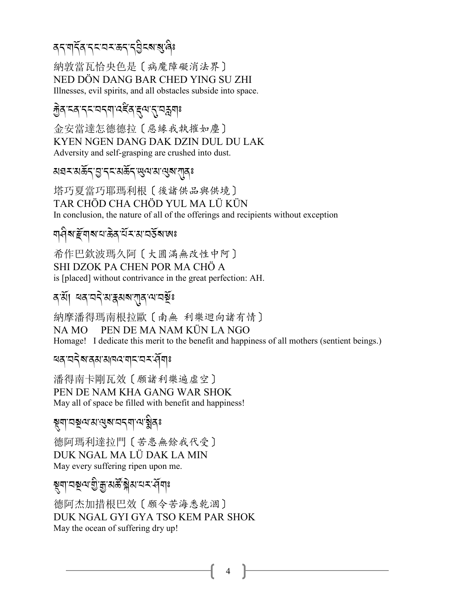# <u> </u>द्भागद्गी द्राप्त्रा प्रदान पर दुर्ग द्राप्तु दि

納敦當瓦恰央色是〔病魔障礙消法界〕 NED DÖN DANG BAR CHED YING SU ZHI Illnesses, evil spirits, and all obstacles subside into space.

### ক্ট্রন্দ্রন্দ্রন্দ্রন্দ্রন্দ্রন্দ্রন্দ্রণ

金安當達怎德德拉〔惡緣我執摧如塵〕 KYEN NGEN DANG DAK DZIN DUL DU LAK Adversity and self-grasping are crushed into dust.

য়য়ৼয়ড়ৄ৾৴৾ঀৼ৸ড়ড়ৼ৸ড়৸৸ড়৸

塔巧夏當巧耶瑪利根〔後諸供品與供境〕 TAR CHỐD CHA CHỐD YUL MA LŨ KỮN In conclusion, the nature of all of the offerings and recipients without exception

### <u>ঘণ্ড্ৰাৰ আৰু বুৰুত্ত্ব বি</u>

希作巴欽波瑪久阿〔大圓滿無改性中阿〕 SHI DZOK PA CHEN POR MA CHÖ A is [placed] without contrivance in the great perfection: AH.

#### ব'ৰ্মা ঘৰ'নন মান্নমৰ বাৰ অৱস্থা

納摩潘得瑪南根拉歐〔南無 利樂迴向諸有情〕 NAMO PEN DE MA NAM KÜN LA NGO Homage! I dedicate this merit to the benefit and happiness of all mothers (sentient beings.)

4

<u>बत् चदेबात्रयात्रावदावादाचन संवा</u>ः

潘得南卡剛瓦效〔願諸利樂遍虛空〕 PEN DE NAM KHA GANG WAR SHOK May all of space be filled with benefit and happiness!

#### য়ৄয়ঢ়ঽয়৻৸ৼ৻৻৸৻৸৻৸ৼ৻

德阿瑪利達拉門〔苦患無餘我代受〕 DUK NGAL MA LÜ DAK LA MIN May every suffering ripen upon me.

### য়৸৸য়ৄ৻৸য়ৣ৾৾ৢয়৾৾য়৽ৼৢৠ৸৻৸৴৻৸ৄৣ৾য়৻

德阿杰加措根巴效〔願令苦海悉乾涸〕 DUK NGAL GYI GYA TSO KEM PAR SHOK May the ocean of suffering dry up!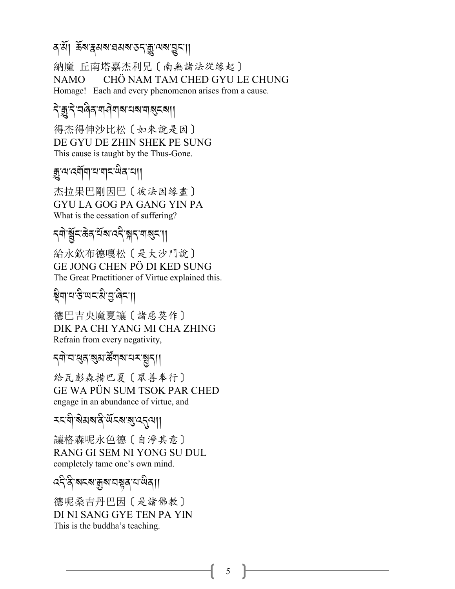#### ব<sup>্</sup>য়। ক্লথপ্লখৱপ্ৰয় <u>বিভি</u>ন্ন প্ৰয় বিভি

納魔 丘南塔嘉杰利兄〔南無諸法從缘起〕 CHÖ NAM TAM CHED GYU LE CHUNG NAMO -Homage! Each and every phenomenon arises from a cause.

## <u>दे कु</u>न्दे वर्लेक या जेबाब वर्ष बाबुदबा।

得杰得伸沙比松〔如來說是因〕 DE GYU DE ZHIN SHEK PE SUNG This cause is taught by the Thus-Gone.

## , कु'ঝ'ঝ্লীমা'ঝ'মাম'ঋক'ঝা।

杰拉果巴剛因巴〔彼法因缘盡〕 **GYU LA GOG PA GANG YIN PA** What is the cessation of suffering?

# 

給永欽布德嘎松〔是大沙門說〕 GE JONG CHEN PÖ DI KED SUNG The Great Practitioner of Virtue explained this.

# 

德巴吉央魔夏讓〔諸惡莫作〕 DIK PA CHI YANG MI CHA ZHING Refrain from every negativity,

## *ॸ्*ॺॊॱय़ख़ॖॺॱॶॴख़ॕ॔ॺऻॺॱय़ॸॱॺॗॸऻॖऻ

給瓦彭森措巴夏 [眾善奉行] GE WA PÜN SUM TSOK PAR CHED engage in an abundance of virtue, and

#### *মন'নী'ৰামৰানী'ৰ্আৰৰা প্ৰাৰম্বন্য*

讓格森呢永色德〔自淨其意〕 RANG GI SEM NI YONG SU DUL completely tame one's own mind.

#### ददे दे बदब कुब पञ्जूद प खेता।

德呢桑吉丹巴因〔是諸佛教〕 DI NI SANG GYE TEN PA YIN This is the buddha's teaching.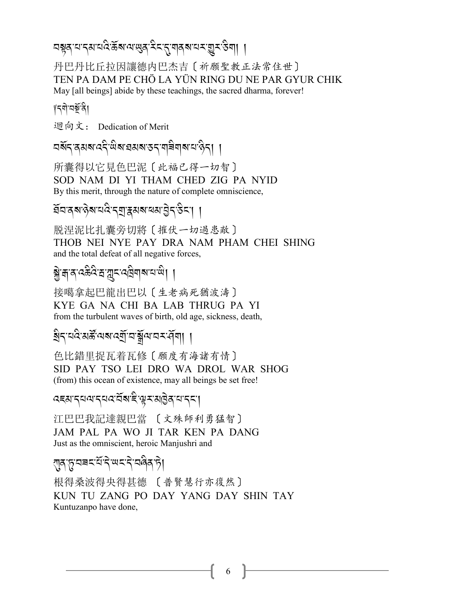# 

丹巴丹比丘拉因讓德内巴杰吉〔祈願聖教正法常住世〕 TEN PA DAM PE CHÖ LA YÜN RING DU NE PAR GYUR CHIK May [all beings] abide by these teachings, the sacred dharma, forever!

#### 

迴向文: Dedication of Merit

所囊得以它見色巴泥〔此福已得一切智〕 SOD NAM DI YI THAM CHED ZIG PA NYID By this merit, through the nature of complete omniscience,

ইনজৰাওৰান্ত্ৰ পৰাস্থিত প্ৰয়াৰ্ট্ৰ স্কুৰা

脱涅泥比扎囊旁切將〔摧伏一切過患敵〕 THOB NEI NYE PAY DRA NAM PHAM CHEI SHING and the total defeat of all negative forces,

# <u>ङ्ग्रेजात्रुद्धदे सञ्ज</u>ादादविषाबादाखे। ।

接噶拿起巴龍出巴以〔生老病死猶波濤〕 KYE GA NA CHI BA LAB THRUG PA YI from the turbulent waves of birth, old age, sickness, death,

ह्येदप्वदेशर्क्षे पबाद्युजिङ्गे बाजर स्वा। ।

色比錯里捉瓦着瓦修〔願度有海諸有情〕 SID PAY TSO LEI DRO WA DROL WAR SHOG (from) this ocean of existence, may all beings be set free!

#### *෬*౾য়ৼৼ৸ড়ৼৼড়ৼৢৼ৻য়ড়য়ৼ৻ৼঀৼ৻৸

江巴巴我記達親巴當 〔文殊師利勇猛智〕 JAM PAL PA WO JI TAR KEN PA DANG Just as the omniscient, heroic Manjushri and

## *र*ग़॒ॸॱॸॗॱय़ॾॸॱय़ऀॱॸऀॱॺॸॱॸऀॱॸऻऀढ़ॱॸॆॖ

根得桑波得央得其德 〔普賢慧行亦復然〕 KUN TU ZANG PO DAY YANG DAY SHIN TAY Kuntuzanpo have done,